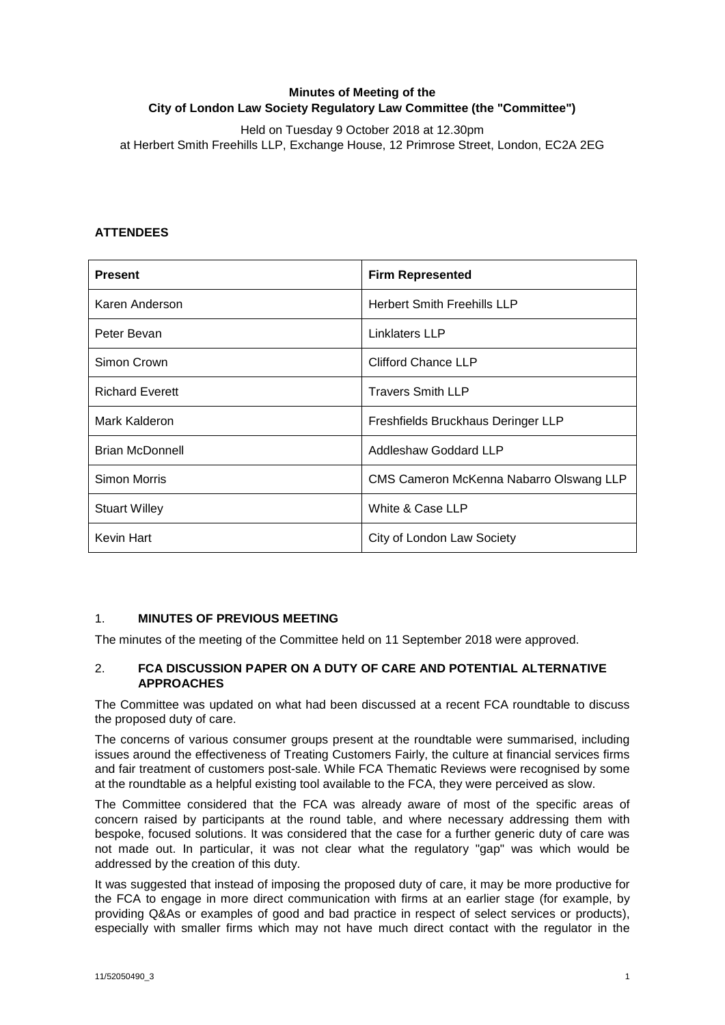# **Minutes of Meeting of the City of London Law Society Regulatory Law Committee (the "Committee")**

Held on Tuesday 9 October 2018 at 12.30pm at Herbert Smith Freehills LLP, Exchange House, 12 Primrose Street, London, EC2A 2EG

# **ATTENDEES**

| <b>Present</b>         | <b>Firm Represented</b>                 |
|------------------------|-----------------------------------------|
| Karen Anderson         | <b>Herbert Smith Freehills LLP</b>      |
| Peter Bevan            | <b>Linklaters LLP</b>                   |
| Simon Crown            | Clifford Chance LLP                     |
| <b>Richard Everett</b> | <b>Travers Smith LLP</b>                |
| Mark Kalderon          | Freshfields Bruckhaus Deringer LLP      |
| <b>Brian McDonnell</b> | Addleshaw Goddard LLP                   |
| Simon Morris           | CMS Cameron McKenna Nabarro Olswang LLP |
| <b>Stuart Willey</b>   | White & Case LLP                        |
| Kevin Hart             | City of London Law Society              |

# 1. **MINUTES OF PREVIOUS MEETING**

The minutes of the meeting of the Committee held on 11 September 2018 were approved.

# 2. **FCA DISCUSSION PAPER ON A DUTY OF CARE AND POTENTIAL ALTERNATIVE APPROACHES**

The Committee was updated on what had been discussed at a recent FCA roundtable to discuss the proposed duty of care.

The concerns of various consumer groups present at the roundtable were summarised, including issues around the effectiveness of Treating Customers Fairly, the culture at financial services firms and fair treatment of customers post-sale. While FCA Thematic Reviews were recognised by some at the roundtable as a helpful existing tool available to the FCA, they were perceived as slow.

The Committee considered that the FCA was already aware of most of the specific areas of concern raised by participants at the round table, and where necessary addressing them with bespoke, focused solutions. It was considered that the case for a further generic duty of care was not made out. In particular, it was not clear what the regulatory "gap" was which would be addressed by the creation of this duty.

It was suggested that instead of imposing the proposed duty of care, it may be more productive for the FCA to engage in more direct communication with firms at an earlier stage (for example, by providing Q&As or examples of good and bad practice in respect of select services or products), especially with smaller firms which may not have much direct contact with the regulator in the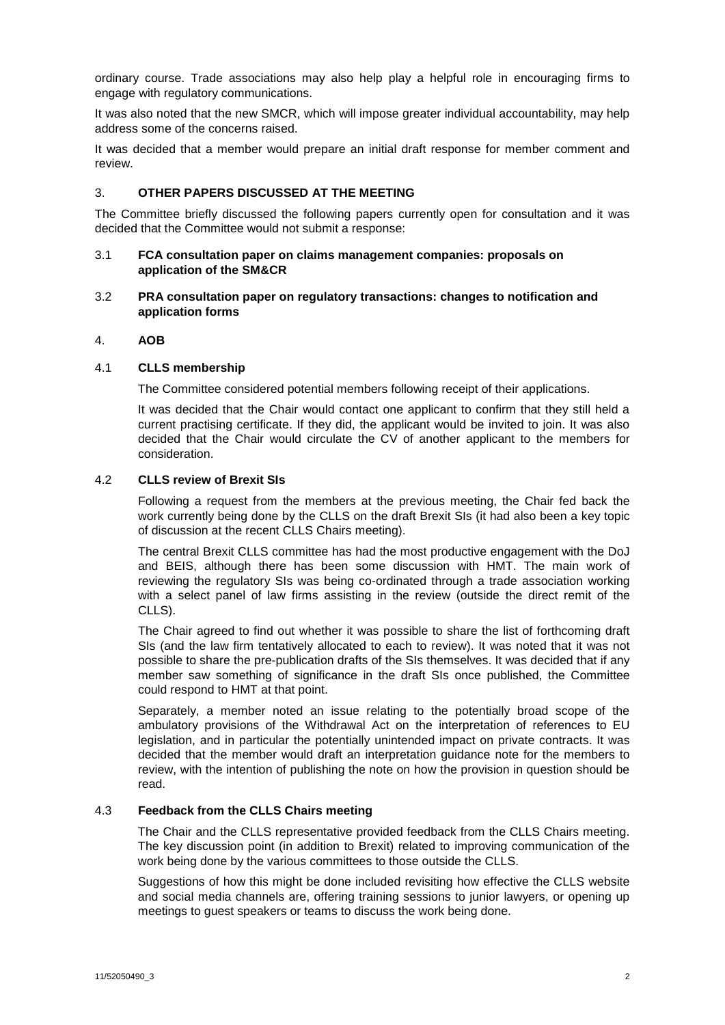ordinary course. Trade associations may also help play a helpful role in encouraging firms to engage with regulatory communications.

It was also noted that the new SMCR, which will impose greater individual accountability, may help address some of the concerns raised.

It was decided that a member would prepare an initial draft response for member comment and review.

## 3. **OTHER PAPERS DISCUSSED AT THE MEETING**

The Committee briefly discussed the following papers currently open for consultation and it was decided that the Committee would not submit a response:

#### 3.1 **FCA consultation paper on claims management companies: proposals on application of the SM&CR**

#### 3.2 **PRA consultation paper on regulatory transactions: changes to notification and application forms**

### 4. **AOB**

#### 4.1 **CLLS membership**

The Committee considered potential members following receipt of their applications.

It was decided that the Chair would contact one applicant to confirm that they still held a current practising certificate. If they did, the applicant would be invited to join. It was also decided that the Chair would circulate the CV of another applicant to the members for consideration.

### 4.2 **CLLS review of Brexit SIs**

Following a request from the members at the previous meeting, the Chair fed back the work currently being done by the CLLS on the draft Brexit SIs (it had also been a key topic of discussion at the recent CLLS Chairs meeting).

The central Brexit CLLS committee has had the most productive engagement with the DoJ and BEIS, although there has been some discussion with HMT. The main work of reviewing the regulatory SIs was being co-ordinated through a trade association working with a select panel of law firms assisting in the review (outside the direct remit of the CLLS).

The Chair agreed to find out whether it was possible to share the list of forthcoming draft SIs (and the law firm tentatively allocated to each to review). It was noted that it was not possible to share the pre-publication drafts of the SIs themselves. It was decided that if any member saw something of significance in the draft SIs once published, the Committee could respond to HMT at that point.

Separately, a member noted an issue relating to the potentially broad scope of the ambulatory provisions of the Withdrawal Act on the interpretation of references to EU legislation, and in particular the potentially unintended impact on private contracts. It was decided that the member would draft an interpretation guidance note for the members to review, with the intention of publishing the note on how the provision in question should be read.

## 4.3 **Feedback from the CLLS Chairs meeting**

The Chair and the CLLS representative provided feedback from the CLLS Chairs meeting. The key discussion point (in addition to Brexit) related to improving communication of the work being done by the various committees to those outside the CLLS.

Suggestions of how this might be done included revisiting how effective the CLLS website and social media channels are, offering training sessions to junior lawyers, or opening up meetings to guest speakers or teams to discuss the work being done.